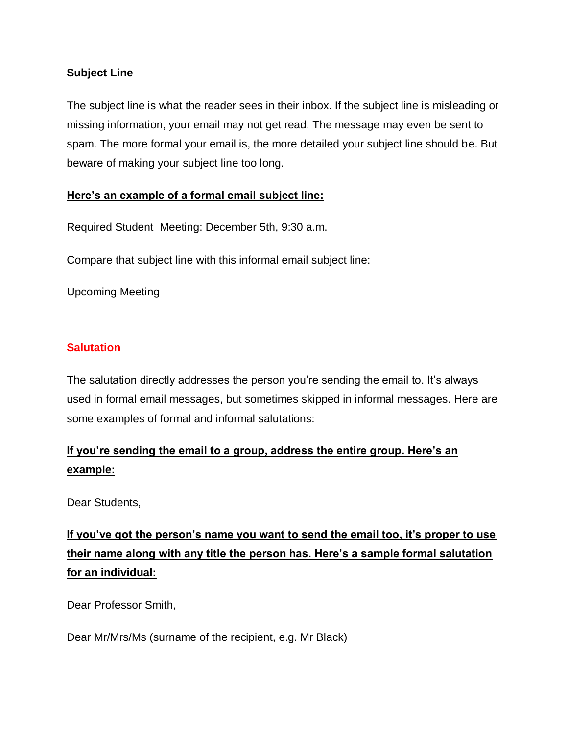#### **Subject Line**

The subject line is what the reader sees in their inbox. If the subject line is misleading or missing information, your email may not get read. The message may even be sent to spam. The more formal your email is, the more detailed your subject line should be. But beware of making your subject line too long.

### **Here's an example of a formal email subject line:**

Required Student Meeting: December 5th, 9:30 a.m.

Compare that subject line with this informal email subject line:

Upcoming Meeting

#### **Salutation**

The salutation directly addresses the person you're sending the email to. It's always used in formal email messages, but sometimes skipped in informal messages. Here are some examples of formal and informal salutations:

# **If you're sending the email to a group, address the entire group. Here's an example:**

Dear Students,

# **If you've got the person's name you want to send the email too, it's proper to use their name along with any title the person has. Here's a sample formal salutation for an individual:**

Dear Professor Smith,

Dear Mr/Mrs/Ms (surname of the recipient, e.g. Mr Black)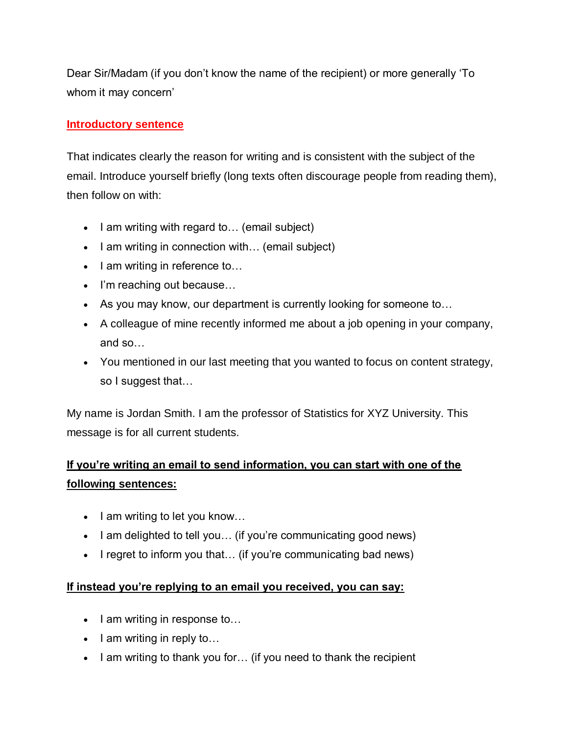Dear Sir/Madam (if you don't know the name of the recipient) or more generally 'To whom it may concern'

## **Introductory sentence**

That indicates clearly the reason for writing and is consistent with the subject of the email. Introduce yourself briefly (long texts often discourage people from reading them), then follow on with:

- $\bullet$  I am writing with regard to... (email subject)
- $\bullet$  I am writing in connection with... (email subject)
- $\bullet$  I am writing in reference to...
- I'm reaching out because...
- As you may know, our department is currently looking for someone to…
- A colleague of mine recently informed me about a job opening in your company, and so…
- You mentioned in our last meeting that you wanted to focus on content strategy, so I suggest that…

My name is Jordan Smith. I am the professor of Statistics for XYZ University. This message is for all current students.

# **If you're writing an email to send information, you can start with one of the following sentences:**

- $\bullet$  lam writing to let you know...
- I am delighted to tell you... (if you're communicating good news)
- I regret to inform you that... (if you're communicating bad news)

### **If instead you're replying to an email you received, you can say:**

- $\bullet$  I am writing in response to...
- $\bullet$  I am writing in reply to...
- I am writing to thank you for... (if you need to thank the recipient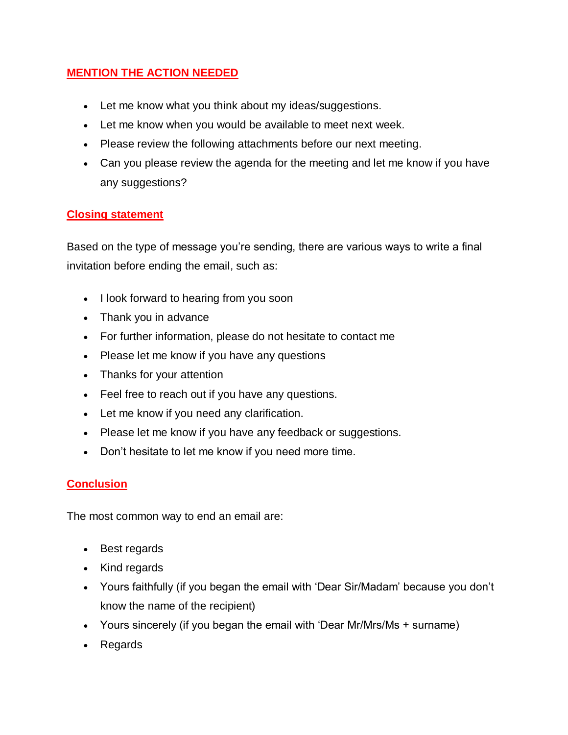## **MENTION THE ACTION NEEDED**

- Let me know what you think about my ideas/suggestions.
- Let me know when you would be available to meet next week.
- Please review the following attachments before our next meeting.
- Can you please review the agenda for the meeting and let me know if you have any suggestions?

## **Closing statement**

Based on the type of message you're sending, there are various ways to write a final invitation before ending the email, such as:

- I look forward to hearing from you soon
- Thank you in advance
- For further information, please do not hesitate to contact me
- Please let me know if you have any questions
- Thanks for your attention
- Feel free to reach out if you have any questions.
- Let me know if you need any clarification.
- Please let me know if you have any feedback or suggestions.
- Don't hesitate to let me know if you need more time.

## **Conclusion**

The most common way to end an email are:

- Best regards
- Kind regards
- Yours faithfully (if you began the email with 'Dear Sir/Madam' because you don't know the name of the recipient)
- Yours sincerely (if you began the email with 'Dear Mr/Mrs/Ms + surname)
- Regards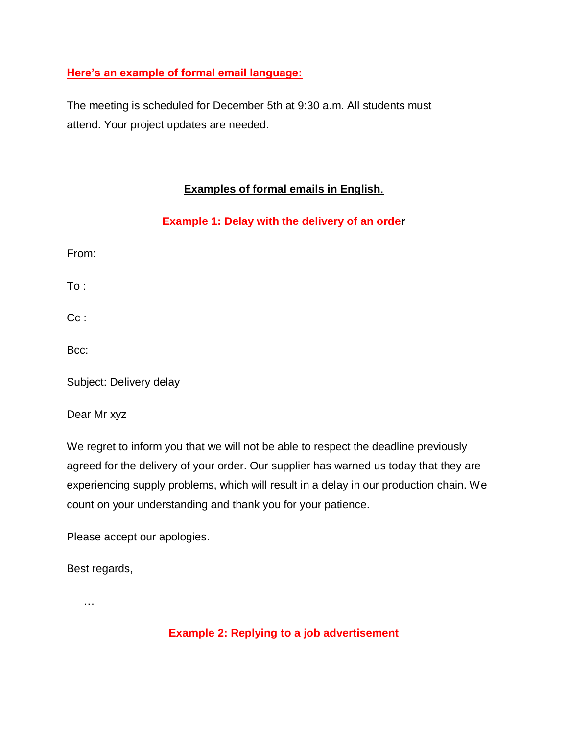### **Here's an example of formal email language:**

The meeting is scheduled for December 5th at 9:30 a.m. All students must attend. Your project updates are needed.

## **Examples of formal emails in English**.

## **Example 1: Delay with the delivery of an order**

From:

To :

Cc:

Bcc:

Subject: Delivery delay

Dear Mr xyz

We regret to inform you that we will not be able to respect the deadline previously agreed for the delivery of your order. Our supplier has warned us today that they are experiencing supply problems, which will result in a delay in our production chain. We count on your understanding and thank you for your patience.

Please accept our apologies.

Best regards,

…

## **Example 2: Replying to a job advertisement**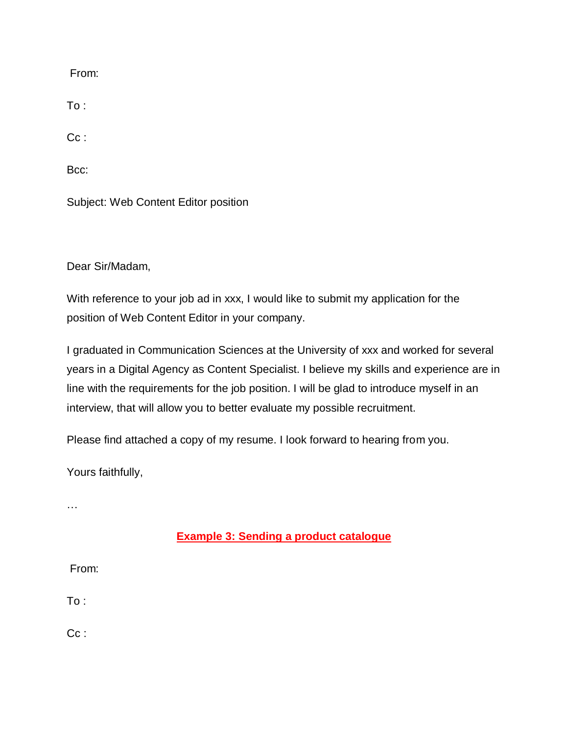From:

To :

Cc :

Bcc:

Subject: Web Content Editor position

Dear Sir/Madam,

With reference to your job ad in xxx, I would like to submit my application for the position of Web Content Editor in your company.

I graduated in Communication Sciences at the University of xxx and worked for several years in a Digital Agency as Content Specialist. I believe my skills and experience are in line with the requirements for the job position. I will be glad to introduce myself in an interview, that will allow you to better evaluate my possible recruitment.

Please find attached a copy of my resume. I look forward to hearing from you.

Yours faithfully,

…

## **Example 3: Sending a product catalogue**

From:

To :

Cc: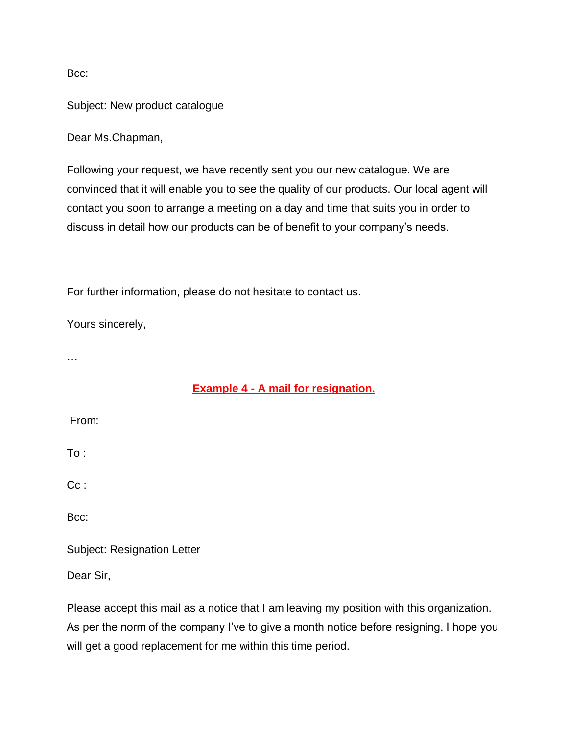Bcc:

Subject: New product catalogue

Dear Ms.Chapman,

Following your request, we have recently sent you our new catalogue. We are convinced that it will enable you to see the quality of our products. Our local agent will contact you soon to arrange a meeting on a day and time that suits you in order to discuss in detail how our products can be of benefit to your company's needs.

For further information, please do not hesitate to contact us.

Yours sincerely,

…

### **Example 4 - A mail for resignation.**

From:

To :

Cc:

Bcc:

Subject: Resignation Letter

Dear Sir,

Please accept this mail as a notice that I am leaving my position with this organization. As per the norm of the company I've to give a month notice before resigning. I hope you will get a good replacement for me within this time period.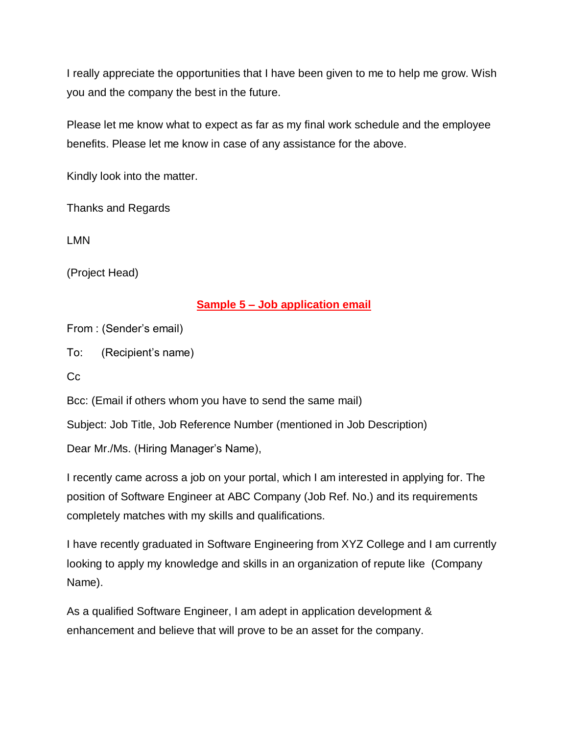I really appreciate the opportunities that I have been given to me to help me grow. Wish you and the company the best in the future.

Please let me know what to expect as far as my final work schedule and the employee benefits. Please let me know in case of any assistance for the above.

Kindly look into the matter.

Thanks and Regards

LMN

(Project Head)

#### **Sample 5 – Job application email**

From : (Sender's email)

To: (Recipient's name)

Cc

Bcc: (Email if others whom you have to send the same mail)

Subject: Job Title, Job Reference Number (mentioned in Job Description)

Dear Mr./Ms. (Hiring Manager's Name),

I recently came across a job on your portal, which I am interested in applying for. The position of Software Engineer at ABC Company (Job Ref. No.) and its requirements completely matches with my skills and qualifications.

I have recently graduated in Software Engineering from XYZ College and I am currently looking to apply my knowledge and skills in an organization of repute like (Company Name).

As a qualified Software Engineer, I am adept in application development & enhancement and believe that will prove to be an asset for the company.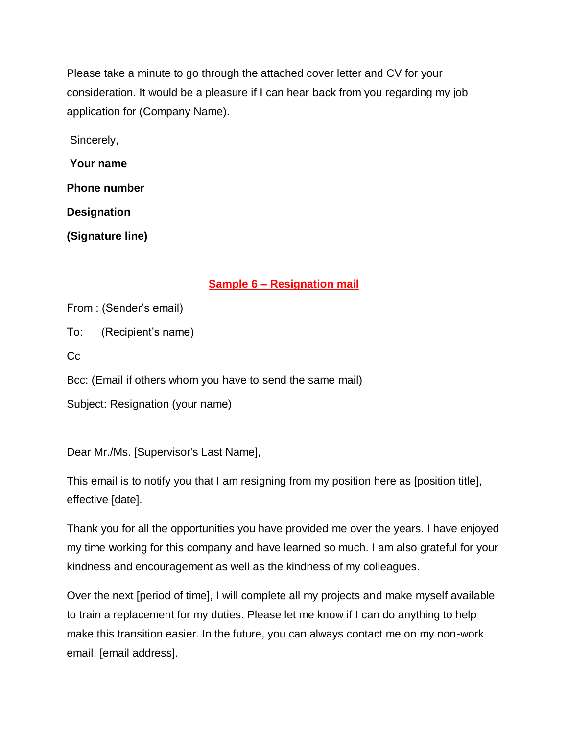Please take a minute to go through the attached cover letter and CV for your consideration. It would be a pleasure if I can hear back from you regarding my job application for (Company Name).

Sincerely,

**Your name** 

**Phone number** 

**Designation**

**(Signature line)**

## **Sample 6 – Resignation mail**

From : (Sender's email)

To: (Recipient's name)

Cc

Bcc: (Email if others whom you have to send the same mail)

Subject: Resignation (your name)

Dear Mr./Ms. [Supervisor's Last Name],

This email is to notify you that I am resigning from my position here as [position title], effective [date].

Thank you for all the opportunities you have provided me over the years. I have enjoyed my time working for this company and have learned so much. I am also grateful for your kindness and encouragement as well as the kindness of my colleagues.

Over the next [period of time], I will complete all my projects and make myself available to train a replacement for my duties. Please let me know if I can do anything to help make this transition easier. In the future, you can always contact me on my non-work email, [email address].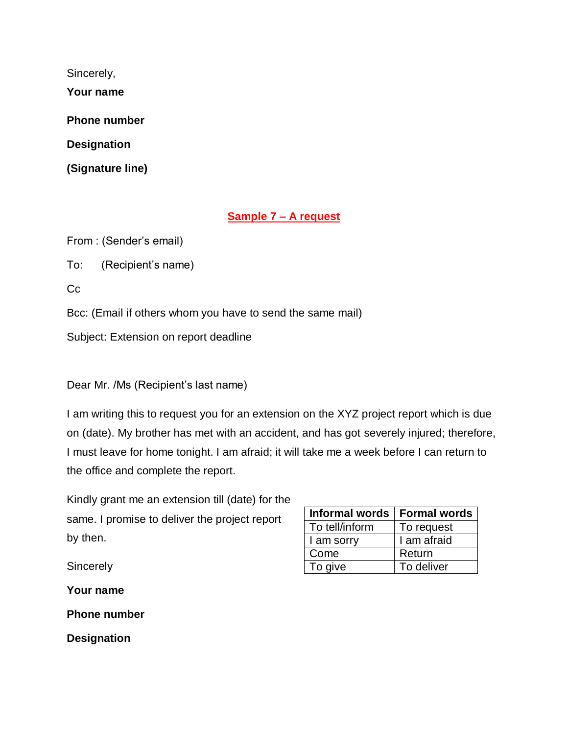Sincerely,

**Your name** 

**Phone number** 

**Designation**

**(Signature line)**

## **Sample 7 – A request**

From : (Sender's email)

To: (Recipient's name)

Cc

Bcc: (Email if others whom you have to send the same mail)

Subject: Extension on report deadline

Dear Mr. /Ms (Recipient's last name)

I am writing this to request you for an extension on the XYZ project report which is due on (date). My brother has met with an accident, and has got severely injured; therefore, I must leave for home tonight. I am afraid; it will take me a week before I can return to the office and complete the report.

| Kindly grant me an extension till (date) for the |
|--------------------------------------------------|
| same. I promise to deliver the project report    |
| by then.                                         |

| Informal words | Formal words |
|----------------|--------------|
| To tell/inform | To request   |
| I am sorry     | I am afraid  |
| Come           | Return       |
| To give        | To deliver   |

**Sincerely** 

**Your name** 

**Phone number** 

**Designation**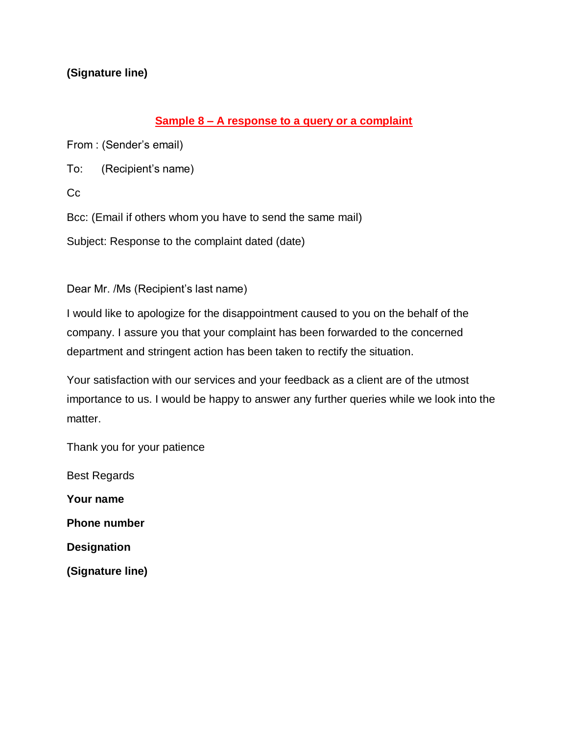## **(Signature line)**

#### **Sample 8 – A response to a query or a complaint**

From : (Sender's email)

To: (Recipient's name)

Cc

Bcc: (Email if others whom you have to send the same mail)

Subject: Response to the complaint dated (date)

Dear Mr. /Ms (Recipient's last name)

I would like to apologize for the disappointment caused to you on the behalf of the company. I assure you that your complaint has been forwarded to the concerned department and stringent action has been taken to rectify the situation.

Your satisfaction with our services and your feedback as a client are of the utmost importance to us. I would be happy to answer any further queries while we look into the matter.

Thank you for your patience

Best Regards

**Your name** 

**Phone number** 

**Designation**

**(Signature line)**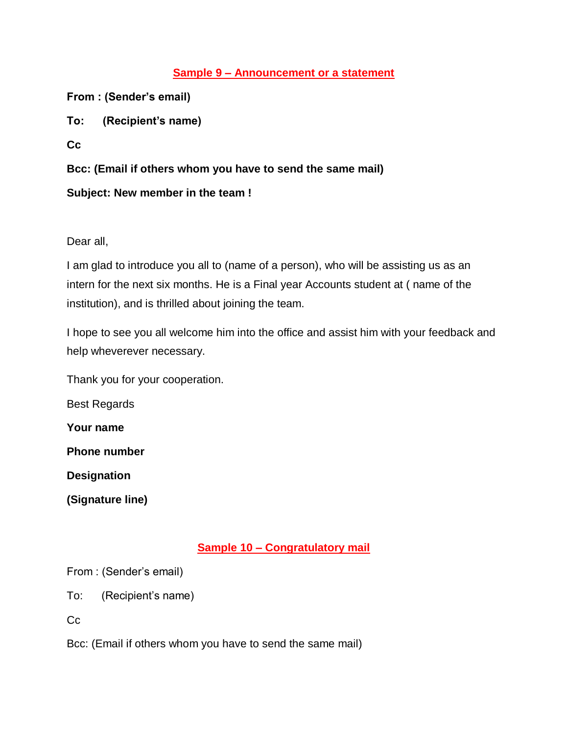## **Sample 9 – Announcement or a statement**

**From : (Sender's email)**

**To: (Recipient's name)**

**Cc**

**Bcc: (Email if others whom you have to send the same mail)**

## **Subject: New member in the team !**

Dear all,

I am glad to introduce you all to (name of a person), who will be assisting us as an intern for the next six months. He is a Final year Accounts student at ( name of the institution), and is thrilled about joining the team.

I hope to see you all welcome him into the office and assist him with your feedback and help wheverever necessary.

Thank you for your cooperation.

Best Regards

**Your name** 

**Phone number** 

**Designation**

**(Signature line)**

## **Sample 10 – Congratulatory mail**

From : (Sender's email)

To: (Recipient's name)

 $Cc$ 

Bcc: (Email if others whom you have to send the same mail)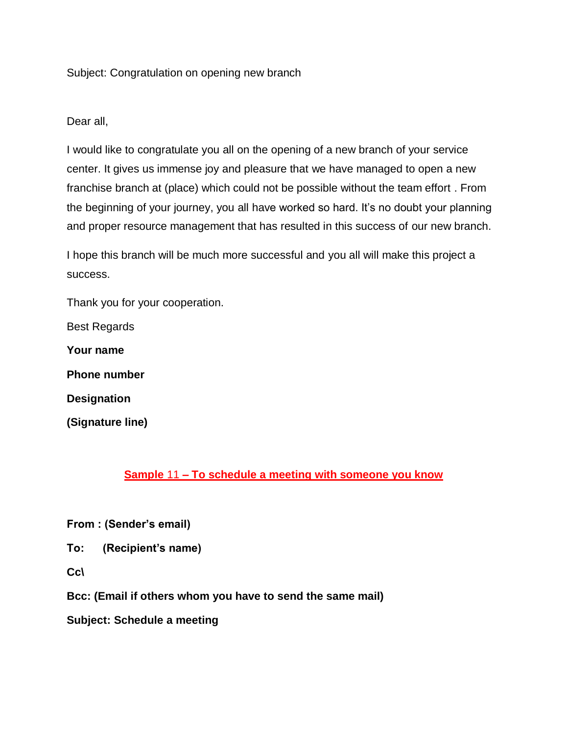#### Subject: Congratulation on opening new branch

#### Dear all,

I would like to congratulate you all on the opening of a new branch of your service center. It gives us immense joy and pleasure that we have managed to open a new franchise branch at (place) which could not be possible without the team effort . From the beginning of your journey, you all have worked so hard. It's no doubt your planning and proper resource management that has resulted in this success of our new branch.

I hope this branch will be much more successful and you all will make this project a success.

Thank you for your cooperation.

Best Regards

**Your name** 

**Phone number** 

**Designation**

**(Signature line)**

### **Sample** 11 **– To schedule a meeting with someone you know**

**From : (Sender's email)**

**To: (Recipient's name)**

**Cc\**

**Bcc: (Email if others whom you have to send the same mail)**

**Subject: Schedule a meeting**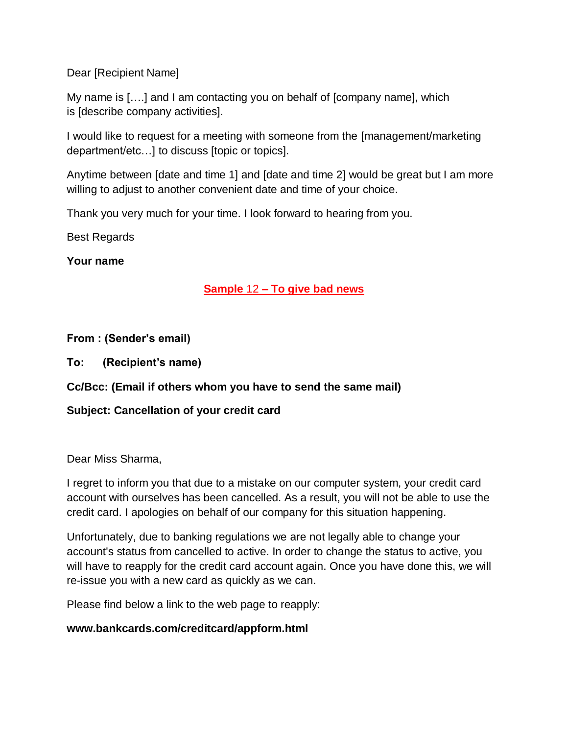Dear [Recipient Name]

My name is [….] and I am contacting you on behalf of [company name], which is [describe company activities].

I would like to request for a meeting with someone from the [management/marketing department/etc…] to discuss [topic or topics].

Anytime between [date and time 1] and [date and time 2] would be great but I am more willing to adjust to another convenient date and time of your choice.

Thank you very much for your time. I look forward to hearing from you.

Best Regards

**Your name** 

### **Sample** 12 **– To give bad news**

#### **From : (Sender's email)**

**To: (Recipient's name)**

**Cc/Bcc: (Email if others whom you have to send the same mail)**

### **Subject: Cancellation of your credit card**

#### Dear Miss Sharma,

I regret to inform you that due to a mistake on our computer system, your credit card account with ourselves has been cancelled. As a result, you will not be able to use the credit card. I apologies on behalf of our company for this situation happening.

Unfortunately, due to banking regulations we are not legally able to change your account's status from cancelled to active. In order to change the status to active, you will have to reapply for the credit card account again. Once you have done this, we will re-issue you with a new card as quickly as we can.

Please find below a link to the web page to reapply:

#### **www.bankcards.com/creditcard/appform.html**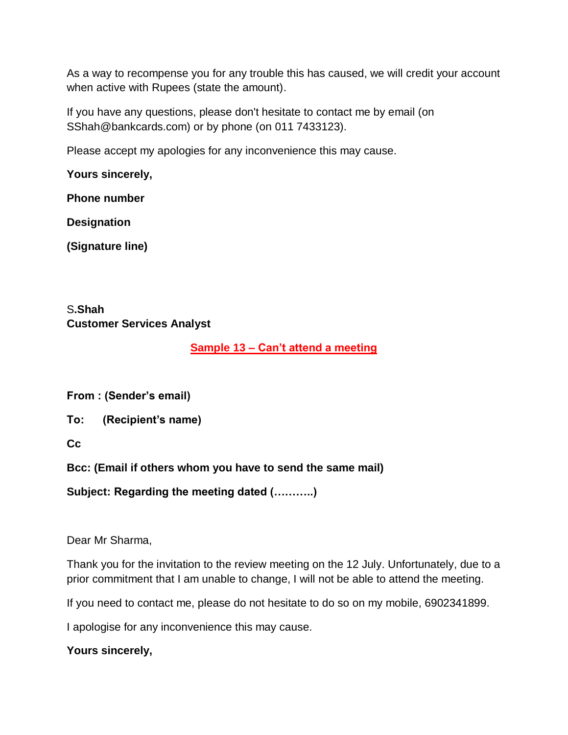As a way to recompense you for any trouble this has caused, we will credit your account when active with Rupees (state the amount).

If you have any questions, please don't hesitate to contact me by email (on SShah@bankcards.com) or by phone (on 011 7433123).

Please accept my apologies for any inconvenience this may cause.

**Yours sincerely,**

**Phone number** 

**Designation**

**(Signature line)**

## S**.Shah Customer Services Analyst**

### **Sample 13 – Can't attend a meeting**

**From : (Sender's email)**

**To: (Recipient's name)**

**Cc**

**Bcc: (Email if others whom you have to send the same mail)**

**Subject: Regarding the meeting dated (………..)**

Dear Mr Sharma,

Thank you for the invitation to the review meeting on the 12 July. Unfortunately, due to a prior commitment that I am unable to change, I will not be able to attend the meeting.

If you need to contact me, please do not hesitate to do so on my mobile, 6902341899.

I apologise for any inconvenience this may cause.

**Yours sincerely,**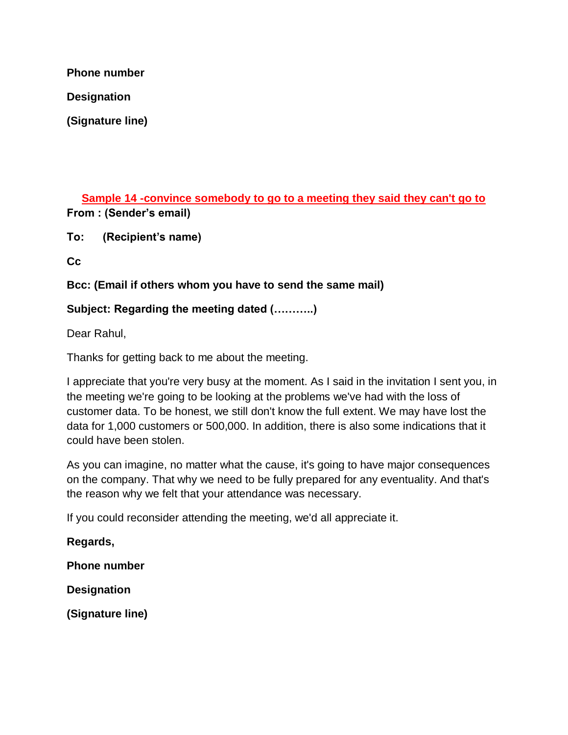**Phone number** 

**Designation**

**(Signature line)**

**Sample 14 -convince somebody to go to a meeting they said they can't go to From : (Sender's email)**

**To: (Recipient's name)**

**Cc**

**Bcc: (Email if others whom you have to send the same mail)**

### **Subject: Regarding the meeting dated (………..)**

Dear Rahul,

Thanks for getting back to me about the meeting.

I appreciate that you're very busy at the moment. As I said in the invitation I sent you, in the meeting we're going to be looking at the problems we've had with the loss of customer data. To be honest, we still don't know the full extent. We may have lost the data for 1,000 customers or 500,000. In addition, there is also some indications that it could have been stolen.

As you can imagine, no matter what the cause, it's going to have major consequences on the company. That why we need to be fully prepared for any eventuality. And that's the reason why we felt that your attendance was necessary.

If you could reconsider attending the meeting, we'd all appreciate it.

**Regards,**

**Phone number** 

**Designation**

**(Signature line)**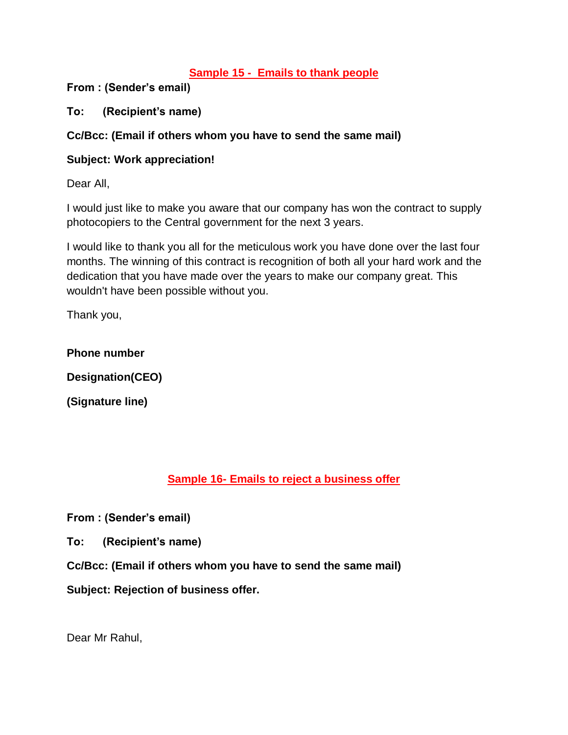### **Sample 15 - Emails to thank people**

**From : (Sender's email)**

**To: (Recipient's name)**

#### **Cc/Bcc: (Email if others whom you have to send the same mail)**

#### **Subject: Work appreciation!**

Dear All,

I would just like to make you aware that our company has won the contract to supply photocopiers to the Central government for the next 3 years.

I would like to thank you all for the meticulous work you have done over the last four months. The winning of this contract is recognition of both all your hard work and the dedication that you have made over the years to make our company great. This wouldn't have been possible without you.

Thank you,

**Phone number** 

**Designation(CEO)**

**(Signature line)**

## **Sample 16- Emails to reject a business offer**

**From : (Sender's email)**

**To: (Recipient's name)**

**Cc/Bcc: (Email if others whom you have to send the same mail)**

**Subject: Rejection of business offer.**

Dear Mr Rahul,